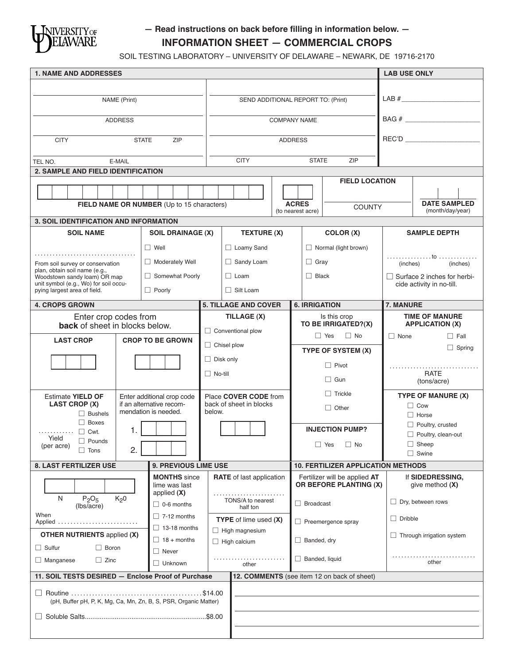

# **— Read instructions on back before filling in information below. — INFORMATION SHEET — COMMERCIAL CROPS**

SOIL TESTING LABORATORY – UNIVERSITY OF DELAWARE – NEWARK, DE 19716-2170

| <b>1. NAME AND ADDRESSES</b>                                                                      |              |                                                  |                               |                                    |                       |                           |                                                         | <b>LAB USE ONLY</b>              |                                         |  |
|---------------------------------------------------------------------------------------------------|--------------|--------------------------------------------------|-------------------------------|------------------------------------|-----------------------|---------------------------|---------------------------------------------------------|----------------------------------|-----------------------------------------|--|
|                                                                                                   |              |                                                  |                               |                                    |                       |                           |                                                         |                                  |                                         |  |
| NAME (Print)                                                                                      |              |                                                  |                               | SEND ADDITIONAL REPORT TO: (Print) |                       |                           |                                                         |                                  |                                         |  |
| <b>ADDRESS</b>                                                                                    |              |                                                  |                               |                                    |                       | <b>COMPANY NAME</b>       |                                                         |                                  |                                         |  |
|                                                                                                   |              |                                                  |                               |                                    |                       |                           |                                                         |                                  |                                         |  |
| <b>CITY</b>                                                                                       | <b>STATE</b> | ZIP                                              |                               |                                    |                       | <b>ADDRESS</b>            |                                                         |                                  |                                         |  |
| TEL NO.                                                                                           | E-MAIL       |                                                  |                               | <b>CITY</b><br><b>STATE</b>        |                       |                           | ZIP                                                     |                                  |                                         |  |
| 2. SAMPLE AND FIELD IDENTIFICATION                                                                |              |                                                  |                               |                                    |                       |                           |                                                         |                                  |                                         |  |
|                                                                                                   |              |                                                  |                               |                                    |                       |                           | <b>FIELD LOCATION</b>                                   |                                  |                                         |  |
| FIELD NAME OR NUMBER (Up to 15 characters)                                                        |              |                                                  |                               |                                    |                       |                           | <b>ACRES</b>                                            |                                  | <b>DATE SAMPLED</b>                     |  |
|                                                                                                   |              |                                                  |                               |                                    |                       |                           | <b>COUNTY</b><br>(to nearest acre)                      |                                  | (month/day/year)                        |  |
| 3. SOIL IDENTIFICATION AND INFORMATION                                                            |              |                                                  |                               |                                    |                       |                           |                                                         |                                  |                                         |  |
| <b>SOIL NAME</b>                                                                                  |              | <b>SOIL DRAINAGE (X)</b>                         | <b>TEXTURE (X)</b>            |                                    |                       | COLOR (X)                 |                                                         | <b>SAMPLE DEPTH</b>              |                                         |  |
|                                                                                                   |              | $\Box$ Well                                      |                               | □ Loamy Sand                       |                       |                           | $\Box$ Normal (light brown)                             |                                  |                                         |  |
| From soil survey or conservation                                                                  |              | Moderately Well                                  |                               | $\Box$ Sandy Loam                  |                       | $\Box$ Gray               |                                                         | (inches)                         | (inches)                                |  |
| plan, obtain soil name (e.g.,<br>Woodstown sandy loam) OR map                                     |              | Somewhat Poorly                                  |                               | $\Box$ Loam                        |                       | $\Box$ Black              |                                                         |                                  | $\Box$ Surface 2 inches for herbi-      |  |
| unit symbol (e.g., Wo) for soil occu-<br>pying largest area of field.                             |              | $\Box$ Poorly                                    |                               | $\Box$ Silt Loam                   |                       |                           |                                                         | cide activity in no-till.        |                                         |  |
| <b>4. CROPS GROWN</b>                                                                             |              |                                                  |                               | <b>5. TILLAGE AND COVER</b>        |                       | <b>6. IRRIGATION</b>      |                                                         | 7. MANURE                        |                                         |  |
| Enter crop codes from                                                                             |              |                                                  |                               | TILLAGE (X)                        |                       |                           | Is this crop                                            |                                  | <b>TIME OF MANURE</b>                   |  |
| back of sheet in blocks below.                                                                    |              |                                                  | $\Box$ Conventional plow      |                                    | TO BE IRRIGATED?(X)   |                           |                                                         | <b>APPLICATION (X)</b>           |                                         |  |
| <b>LAST CROP</b>                                                                                  |              | <b>CROP TO BE GROWN</b>                          |                               |                                    |                       |                           | $\Box$ No<br>$\Box$ Yes                                 | $\Box$ None                      | $\Box$ Fall                             |  |
|                                                                                                   |              |                                                  | $\Box$ Chisel plow            |                                    | TYPE OF SYSTEM (X)    |                           |                                                         | $\Box$ Spring                    |                                         |  |
|                                                                                                   |              |                                                  |                               | $\Box$ Disk only                   |                       | $\Box$ Pivot              |                                                         |                                  |                                         |  |
|                                                                                                   |              |                                                  | $\Box$ No-till                |                                    | $\Box$ Gun            |                           |                                                         | <b>RATE</b><br>(tons/acre)       |                                         |  |
| <b>Estimate YIELD OF</b>                                                                          |              | Enter additional crop code                       |                               | Place COVER CODE from              |                       | $\Box$ Trickle            |                                                         |                                  | TYPE OF MANURE (X)                      |  |
| <b>LAST CROP (X)</b>                                                                              |              | if an alternative recom-<br>mendation is needed. | below.                        | back of sheet in blocks            |                       | $\Box$ Other              |                                                         |                                  | $\Box$ Cow                              |  |
| $\Box$ Bushels<br>$\Box$ Boxes                                                                    |              |                                                  |                               |                                    |                       |                           |                                                         |                                  | $\Box$ Horse<br>$\Box$ Poultry, crusted |  |
| $\Box$ Cwt.<br>.<br>Yield                                                                         | 1.           |                                                  |                               |                                    |                       | <b>INJECTION PUMP?</b>    |                                                         |                                  | $\Box$ Poultry, clean-out               |  |
| $\Box$ Pounds<br>(per acre)<br>$\Box$ Tons                                                        | 2.           |                                                  |                               |                                    |                       | $\Box$ Yes<br>$\Box$ No   |                                                         | $\Box$ Sheep                     |                                         |  |
|                                                                                                   |              |                                                  |                               |                                    |                       |                           |                                                         | $\Box$ Swine                     |                                         |  |
| 8. LAST FERTILIZER USE                                                                            |              | 9. PREVIOUS LIME USE                             |                               |                                    |                       |                           | <b>10. FERTILIZER APPLICATION METHODS</b>               |                                  |                                         |  |
|                                                                                                   |              | <b>MONTHS</b> since<br>lime was last             |                               | <b>RATE</b> of last application    |                       |                           | Fertilizer will be applied AT<br>OR BEFORE PLANTING (X) |                                  | If SIDEDRESSING,<br>give method $(X)$   |  |
| applied $(X)$<br>N<br>$P_2O_5$<br>K <sub>2</sub> 0<br>$\Box$ 0-6 months<br>(lbs/acre)             |              |                                                  | TONS/A to nearest<br>half ton |                                    | $\Box$ Broadcast      |                           |                                                         | $\Box$ Dry, between rows         |                                         |  |
| When<br>Applied                                                                                   |              | $\Box$ 7-12 months                               |                               | <b>TYPE</b> of lime used (X)       |                       | $\Box$ Preemergence spray |                                                         | $\Box$ Dribble                   |                                         |  |
| $\Box$ 13-18 months<br><b>OTHER NUTRIENTS applied (X)</b>                                         |              |                                                  | $\Box$ High magnesium         |                                    |                       |                           |                                                         | $\Box$ Through irrigation system |                                         |  |
| $\Box$ Sulfur<br>$\Box$ Boron                                                                     |              | $\Box$ 18 + months<br>$\Box$ Never               |                               | $\Box$ High calcium                |                       |                           | $\Box$ Banded, dry                                      |                                  |                                         |  |
| $\Box$ Zinc<br>$\Box$ Manganese                                                                   |              | $\Box$ Unknown                                   |                               | other                              | $\Box$ Banded, liquid |                           |                                                         |                                  | other                                   |  |
| 11. SOIL TESTS DESIRED - Enclose Proof of Purchase<br>12. COMMENTS (see item 12 on back of sheet) |              |                                                  |                               |                                    |                       |                           |                                                         |                                  |                                         |  |
| $\Box$                                                                                            |              |                                                  |                               |                                    |                       |                           |                                                         |                                  |                                         |  |
| (pH, Buffer pH, P, K, Mg, Ca, Mn, Zn, B, S, PSR, Organic Matter)                                  |              |                                                  |                               |                                    |                       |                           |                                                         |                                  |                                         |  |
|                                                                                                   |              |                                                  |                               |                                    |                       |                           |                                                         |                                  |                                         |  |
|                                                                                                   |              |                                                  |                               |                                    |                       |                           |                                                         |                                  |                                         |  |
|                                                                                                   |              |                                                  |                               |                                    |                       |                           |                                                         |                                  |                                         |  |